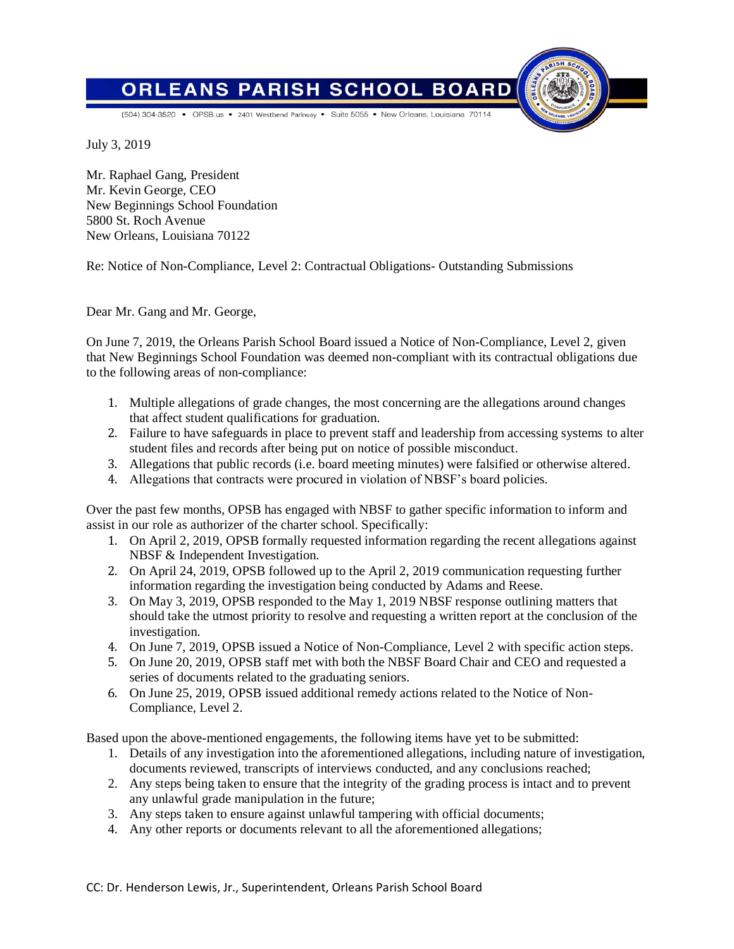**ORLEANS PARISH SCHOOL BOARD** 

(504) 304-3520 • OPSB.us • 2401 Westbend Parkway • Suite 5055 • New Orleans, Louisiana 70114

July 3, 2019

Mr. Raphael Gang, President Mr. Kevin George, CEO New Beginnings School Foundation 5800 St. Roch Avenue New Orleans, Louisiana 70122

Re: Notice of Non-Compliance, Level 2: Contractual Obligations- Outstanding Submissions

Dear Mr. Gang and Mr. George,

On June 7, 2019, the Orleans Parish School Board issued a Notice of Non-Compliance, Level 2, given that New Beginnings School Foundation was deemed non-compliant with its contractual obligations due to the following areas of non-compliance:

- 1. Multiple allegations of grade changes, the most concerning are the allegations around changes that affect student qualifications for graduation.
- 2. Failure to have safeguards in place to prevent staff and leadership from accessing systems to alter student files and records after being put on notice of possible misconduct.
- 3. Allegations that public records (i.e. board meeting minutes) were falsified or otherwise altered.
- 4. Allegations that contracts were procured in violation of NBSF's board policies.

Over the past few months, OPSB has engaged with NBSF to gather specific information to inform and assist in our role as authorizer of the charter school. Specifically:

- 1. On April 2, 2019, OPSB formally requested information regarding the recent allegations against NBSF & Independent Investigation.
- 2. On April 24, 2019, OPSB followed up to the April 2, 2019 communication requesting further information regarding the investigation being conducted by Adams and Reese.
- 3. On May 3, 2019, OPSB responded to the May 1, 2019 NBSF response outlining matters that should take the utmost priority to resolve and requesting a written report at the conclusion of the investigation.
- 4. On June 7, 2019, OPSB issued a Notice of Non-Compliance, Level 2 with specific action steps.
- 5. On June 20, 2019, OPSB staff met with both the NBSF Board Chair and CEO and requested a series of documents related to the graduating seniors.
- 6. On June 25, 2019, OPSB issued additional remedy actions related to the Notice of Non-Compliance, Level 2.

Based upon the above-mentioned engagements, the following items have yet to be submitted:

- 1. Details of any investigation into the aforementioned allegations, including nature of investigation, documents reviewed, transcripts of interviews conducted, and any conclusions reached;
- 2. Any steps being taken to ensure that the integrity of the grading process is intact and to prevent any unlawful grade manipulation in the future;
- 3. Any steps taken to ensure against unlawful tampering with official documents;
- 4. Any other reports or documents relevant to all the aforementioned allegations;